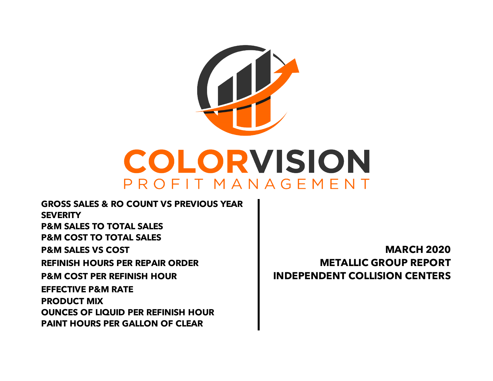

**PAINT HOURS PER GALLON OF CLEAR EFFECTIVE P&M RATE PRODUCT MIX OUNCES OF LIQUID PER REFINISH HOUR REFINISH HOURS PER REPAIR ORDER METALLIC GROUP REPORT P&M COST PER REFINISH HOUR INDEPENDENT COLLISION CENTERS GROSS SALES & RO COUNT VS PREVIOUS YEAR SEVERITY P&M SALES TO TOTAL SALES P&M COST TO TOTAL SALES P&M SALES VS COST MARCH 2020**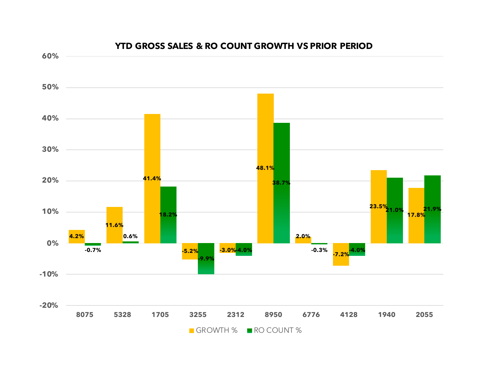

#### **YTD GROSS SALES & RO COUNT GROWTH VS PRIOR PERIOD**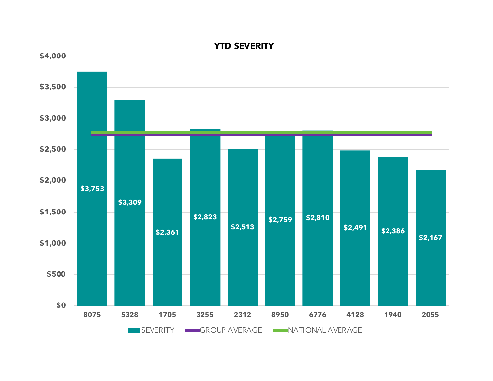

**YTD SEVERITY**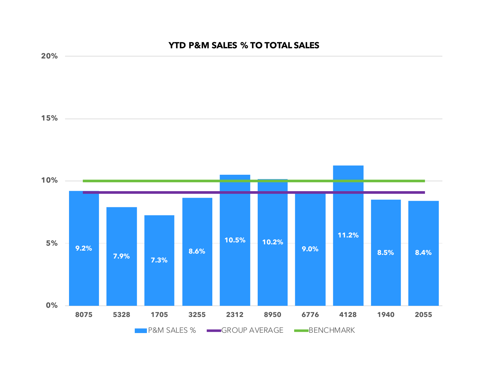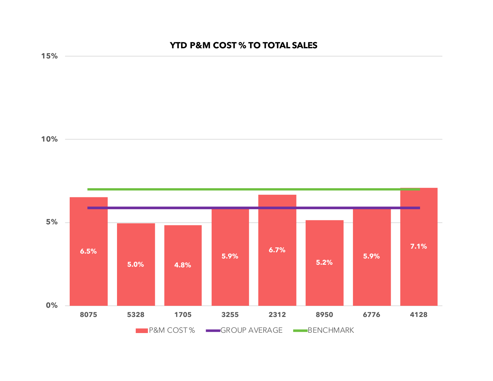# **YTD P&M COST % TO TOTAL SALES**



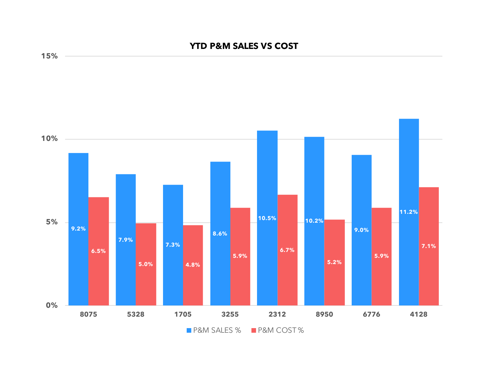## **YTD P&M SALES VS COST**



**15%**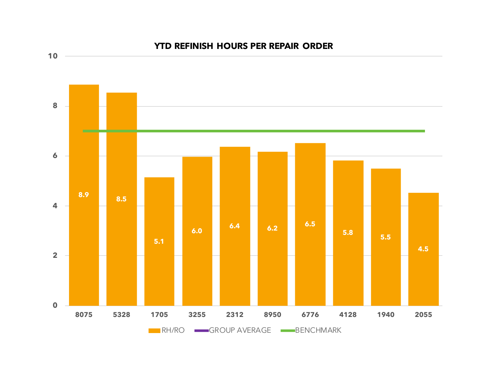

### **YTD REFINISH HOURS PER REPAIR ORDER**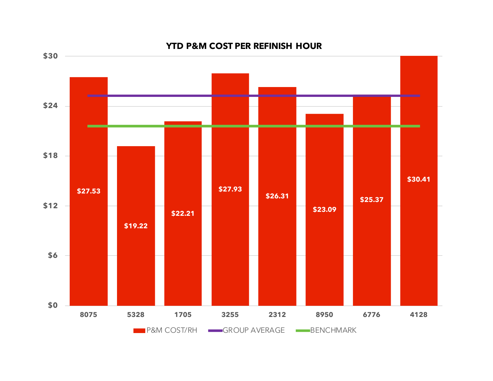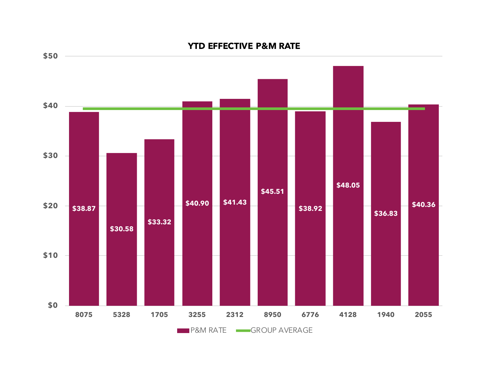

### **YTD EFFECTIVE P&M RATE**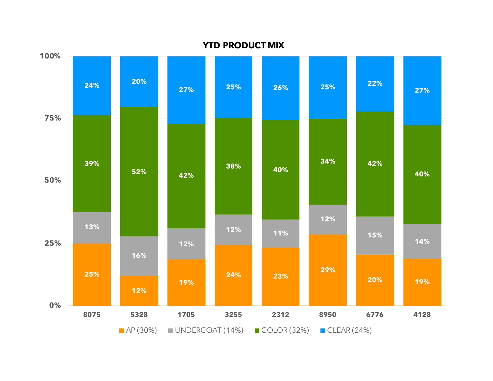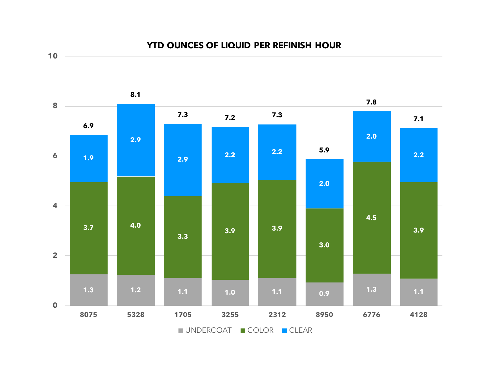### **YTD OUNCES OF LIQUID PER REFINISH HOUR**

**10**



UNDERCOAT COLOR CLEAR